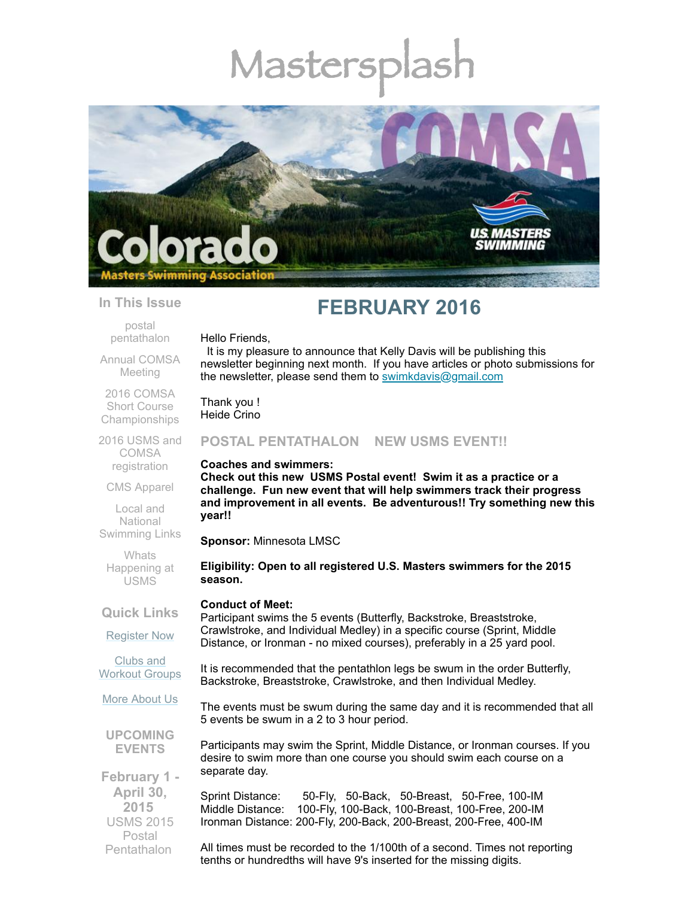# Mastersp



#### **In This Issue**

postal [pentathalon](#page-0-0)

Annual [COMSA](#page-1-0) Meeting

2016 COMSA Short Course [Championships](#page-1-1)

2016 USMS and COMSA [registration](#page-2-0)

CMS [Apparel](#page-2-1)

Local and **National** [Swimming](#page-2-2) Links

**Whats** [Happening](#page-3-0) at USMS

**Quick Links**

[Register](http://comsa.org/joining/index.html) Now

Clubs and [Workout](http://comsa.org/clubs/index.html) Groups

More [About](http://comsa.org/) Us

**UPCOMING EVENTS**

**February 1 - April 30, 2015**  USMS 2015 Postal **Pentathalon** 

# **FEBRUARY 2016**

Hello Friends,

It is my pleasure to announce that Kelly Davis will be publishing this newsletter beginning next month. If you have articles or photo submissions for the newsletter, please send them to [swimkdavis@gmail.com](mailto:swimkdavis@gmail.com)

Thank you ! Heide Crino

# <span id="page-0-0"></span>**POSTAL PENTATHALON NEW USMS EVENT!!**

#### **Coaches and swimmers:**

**Check out this new USMS Postal event! Swim it as a practice or a challenge. Fun new event that will help swimmers track their progress and improvement in all events. Be adventurous!! Try something new this year!!**

**Sponsor:** Minnesota LMSC

**Eligibility: Open to all registered U.S. Masters swimmers for the 2015 season.**

#### **Conduct of Meet:**

Participant swims the 5 events (Butterfly, Backstroke, Breaststroke, Crawlstroke, and Individual Medley) in a specific course (Sprint, Middle Distance, or Ironman - no mixed courses), preferably in a 25 yard pool.

It is recommended that the pentathlon legs be swum in the order Butterfly, Backstroke, Breaststroke, Crawlstroke, and then Individual Medley.

The events must be swum during the same day and it is recommended that all 5 events be swum in a 2 to 3 hour period.

Participants may swim the Sprint, Middle Distance, or Ironman courses. If you desire to swim more than one course you should swim each course on a separate day.

Sprint Distance: 50-Fly, 50-Back, 50-Breast, 50-Free, 100-IM Middle Distance: 100-Fly, 100-Back, 100-Breast, 100-Free, 200-IM Ironman Distance: 200-Fly, 200-Back, 200-Breast, 200-Free, 400-IM

All times must be recorded to the 1/100th of a second. Times not reporting tenths or hundredths will have 9's inserted for the missing digits.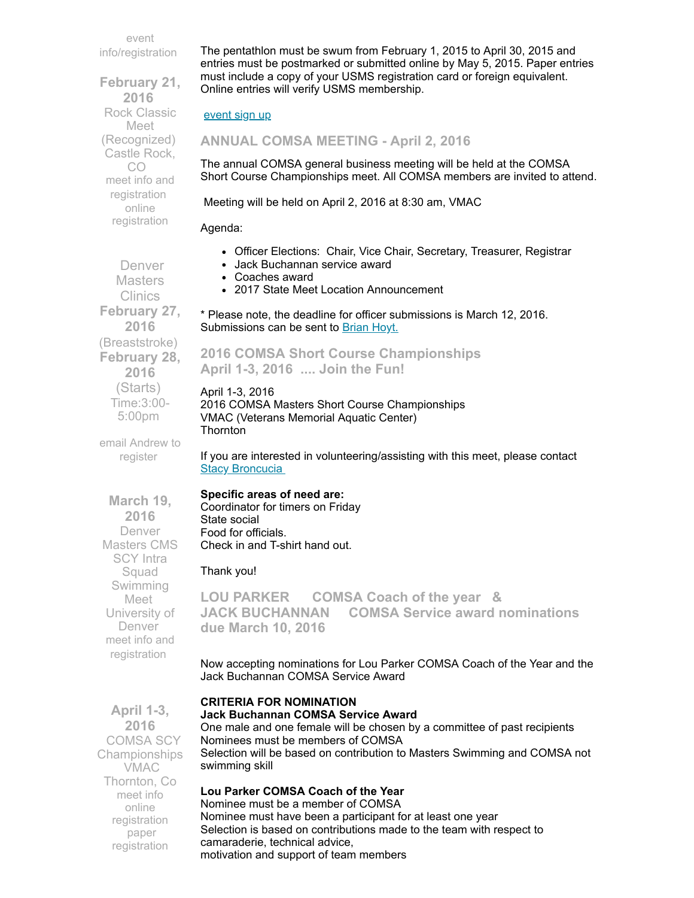event [info/registration](https://www.clubassistant.com/club/meet_information.cfm?c=1156&smid=6119)

**February 21, 2016**  Rock Classic Meet (Recognized) Castle Rock, CO meet info and [registration](http://www.comsa.org/events/2016/2016RockClassicEventEntryForm.pdf) online [registration](https://www.clubassistant.com/club/meet_information.cfm?c=2302&smid=7249)

 Denver **Masters** Clinics **February 27, 2016** (Breaststroke) **February 28, 2016** (Starts) Time:3:00- 5:00pm

The pentathlon must be swum from February 1, 2015 to April 30, 2015 and entries must be postmarked or submitted online by May 5, 2015. Paper entries must include a copy of your USMS registration card or foreign equivalent. Online entries will verify USMS membership.

#### [event](https://www.clubassistant.com/club/meet_information.cfm?c=1156&smid=6119) sign up

<span id="page-1-0"></span>**ANNUAL COMSA MEETING - April 2, 2016**

The annual COMSA general business meeting will be held at the COMSA Short Course Championships meet. All COMSA members are invited to attend.

Meeting will be held on April 2, 2016 at 8:30 am, VMAC

#### Agenda:

- Officer Elections: Chair, Vice Chair, Secretary, Treasurer, Registrar
- Jack Buchannan service award
- Coaches award
- 2017 State Meet Location Announcement

\* Please note, the deadline for officer submissions is March 12, 2016. Submissions can be sent to **[Brian](mailto:bkhoyt@gmail.com) Hoyt.** 

# <span id="page-1-1"></span>**2016 COMSA Short Course Championships April 1-3, 2016 .... Join the Fun!**

# April 1-3, 2016

2016 COMSA Masters Short Course Championships VMAC (Veterans Memorial Aquatic Center) **Thornton** 

If you are interested in volunteering/assisting with this meet, please contact **Stacy [Broncucia](mailto:sbroncucia@gmail.com)** 

#### **Specific areas of need are:**

Coordinator for timers on Friday State social Food for officials. Check in and T-shirt hand out.

#### Thank you!

**LOU PARKER COMSA Coach of the year & JACK BUCHANNAN COMSA Service award nominations due March 10, 2016**

Now accepting nominations for Lou Parker COMSA Coach of the Year and the Jack Buchannan COMSA Service Award

## **CRITERIA FOR NOMINATION**

#### **Jack Buchannan COMSA Service Award**

One male and one female will be chosen by a committee of past recipients Nominees must be members of COMSA Selection will be based on contribution to Masters Swimming and COMSA not swimming skill

#### **Lou Parker COMSA Coach of the Year**

Nominee must be a member of COMSA Nominee must have been a participant for at least one year Selection is based on contributions made to the team with respect to camaraderie, technical advice, motivation and support of team members

register **March 19, 2016** Denver Masters CMS SCY Intra Squad Swimming Meet University of Denver meet info and

[registration](https://www.clubassistant.com/club/meet_information.cfm?c=2307&smid=7313)

email [Andrew](mailto:swimmasters@du.edu) to

**April 1-3, 2016** COMSA SCY Championships VMAC Thornton, Co [meet](http://www.comsa.org/events/2016/2016%20COMSA%20Short%20Course%20Yards%20Swimming%20Championship.pdf) info online [registration](https://www.clubassistant.com/club/meet_information.cfm?c=1279&smid=7164) paper [registration](http://www.comsa.org/events/2016/2016%20COMSA%20CHAMPS%20REGISTRATION%20FORM.pdf)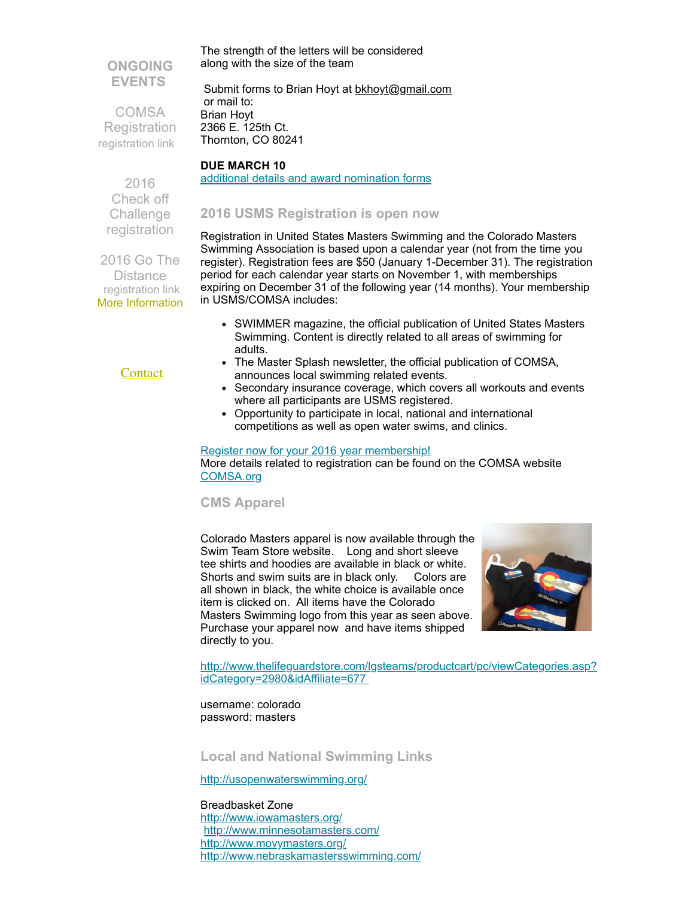# **ONGOING EVENTS**

**COMSA Registration** [registration](http://www.comsa.org/joining/index.html) link

along with the size of the team Submit forms to Brian Hoyt at [bkhoyt@gmail.com](mailto:bkhoyt@gmail.com) or mail to:

The strength of the letters will be considered

Brian Hoyt 2366 E. 125th Ct. Thornton, CO 80241

# **DUE MARCH 10**

additional details and award [nomination](http://www.comsa.org/forms/2016Award%20Nomination%20Form.pdf) forms

# <span id="page-2-0"></span>**2016 USMS Registration is open now**

Registration in United States Masters Swimming and the Colorado Masters Swimming Association is based upon a calendar year (not from the time you register). Registration fees are \$50 (January 1-December 31). The registration period for each calendar year starts on November 1, with memberships expiring on December 31 of the following year (14 months). Your membership in USMS/COMSA includes:

- SWIMMER magazine, the official publication of United States Masters Swimming. Content is directly related to all areas of swimming for adults.
- The Master Splash newsletter, the official publication of COMSA, announces local swimming related events.
- Secondary insurance coverage, which covers all workouts and events where all participants are USMS registered.
- Opportunity to participate in local, national and international competitions as well as open water swims, and clinics.

Register now for your 2016 year [membership!](http://www.comsa.org/joining/join-online.html) More details related to registration can be found on the COMSA website [COMSA.org](http://www.comsa.org/joining/index.html)

# <span id="page-2-1"></span>**CMS Apparel**

Colorado Masters apparel is now available through the Swim Team Store website. Long and short sleeve tee shirts and hoodies are available in black or white. Shorts and swim suits are in black only. Colors are all shown in black, the white choice is available once item is clicked on. All items have the Colorado Masters Swimming logo from this year as seen above. Purchase your apparel now and have items shipped directly to you.



[http://www.thelifeguardstore.com/lgsteams/productcart/pc/viewCategories.asp?](http://www.thelifeguardstore.com/lgsteams/productcart/pc/viewCategories.asp?idCategory=2980&idAffiliate=677) idCategory=2980&idAffiliate=677

username: colorado password: masters

<span id="page-2-2"></span>**Local and National Swimming Links**

<http://usopenwaterswimming.org/>

#### Breadbasket Zone

<http://www.iowamasters.org/> <http://www.minnesotamasters.com/> <http://www.movymasters.org/> <http://www.nebraskamastersswimming.com/>

 2016 Check off **Challenge** [registration](http://www.usms.org/fitness/content/checkoff)

2016 Go The **Distance** [registration](http://www.usms.org/fitness/content/gothedistance) link More [Information](http://www.comsa.org/)

### **[Contact](mailto:heidecrino@gmail.com?)**